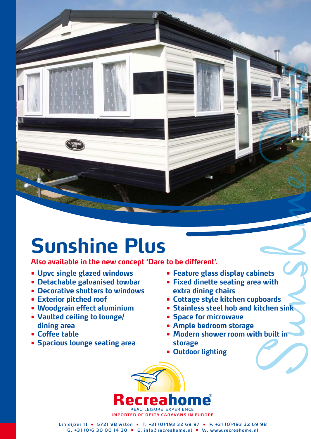## **Sunshine Plus**

**Also available in the new concept 'Dare to be different'.**

- **• Upvc single glazed windows**
- **• Detachable galvanised towbar**
- **• Decorative shutters to windows**
- **• Exterior pitched roof**
- **• Woodgrain effect aluminium**
- **• Vaulted ceiling to lounge/ dining area**
- **• Coffee table**
- **• Spacious lounge seating area**
- **• Feature glass display cabinets**
- **• Fixed dinette seating area with extra dining chairs**
- **• Cottage style kitchen cupboards**
- **• Stainless steel hob and kitchen sink**
- **• Space for microwave**
- **• Ample bedroom storage**
- Sunshine Plus and the Plus Control of Plus Control of Plus Control of Plus Control of Plus Control of Plus Control of Plus Control of Plus Control of Plus Control of Plus Control of Plus Control of Plus Control of Plus Con **• Modern shower room with built in storage**
- **• Outdoor lighting**



**Linieijzer 1 1 • 5721 VB Asten • T. +31 (0)493 32 69 97 • F. +31 (0)493 32 69 98 G. +31 (0)6 30 00 14 30 • E. info@recreahome.nl • W. www.recreahome.nl**